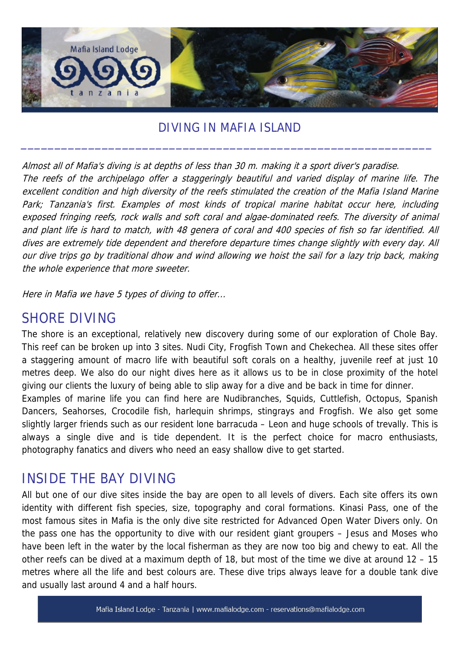

#### DIVING IN MAFIA ISLAND

Almost all of Mafia's diving is at depths of less than 30 m. making it a sport diver's paradise. The reefs of the archipelago offer a staggeringly beautiful and varied display of marine life. The excellent condition and high diversity of the reefs stimulated the creation of the Mafia Island Marine Park; Tanzania's first. Examples of most kinds of tropical marine habitat occur here, including exposed fringing reefs, rock walls and soft coral and algae-dominated reefs. The diversity of animal and plant life is hard to match, with 48 genera of coral and 400 species of fish so far identified. All dives are extremely tide dependent and therefore departure times change slightly with every day. All our dive trips go by traditional dhow and wind allowing we hoist the sail for a lazy trip back, making the whole experience that more sweeter.

Here in Mafia we have 5 types of diving to offer...

## SHORE DIVING

The shore is an exceptional, relatively new discovery during some of our exploration of Chole Bay. This reef can be broken up into 3 sites. Nudi City, Frogfish Town and Chekechea. All these sites offer a staggering amount of macro life with beautiful soft corals on a healthy, juvenile reef at just 10 metres deep. We also do our night dives here as it allows us to be in close proximity of the hotel giving our clients the luxury of being able to slip away for a dive and be back in time for dinner.

Examples of marine life you can find here are Nudibranches, Squids, Cuttlefish, Octopus, Spanish Dancers, Seahorses, Crocodile fish, harlequin shrimps, stingrays and Frogfish. We also get some slightly larger friends such as our resident lone barracuda – Leon and huge schools of trevally. This is always a single dive and is tide dependent. It is the perfect choice for macro enthusiasts, photography fanatics and divers who need an easy shallow dive to get started.

## INSIDE THE BAY DIVING

All but one of our dive sites inside the bay are open to all levels of divers. Each site offers its own identity with different fish species, size, topography and coral formations. Kinasi Pass, one of the most famous sites in Mafia is the only dive site restricted for Advanced Open Water Divers only. On the pass one has the opportunity to dive with our resident giant groupers – Jesus and Moses who have been left in the water by the local fisherman as they are now too big and chewy to eat. All the other reefs can be dived at a maximum depth of 18, but most of the time we dive at around 12 – 15 metres where all the life and best colours are. These dive trips always leave for a double tank dive and usually last around 4 and a half hours.